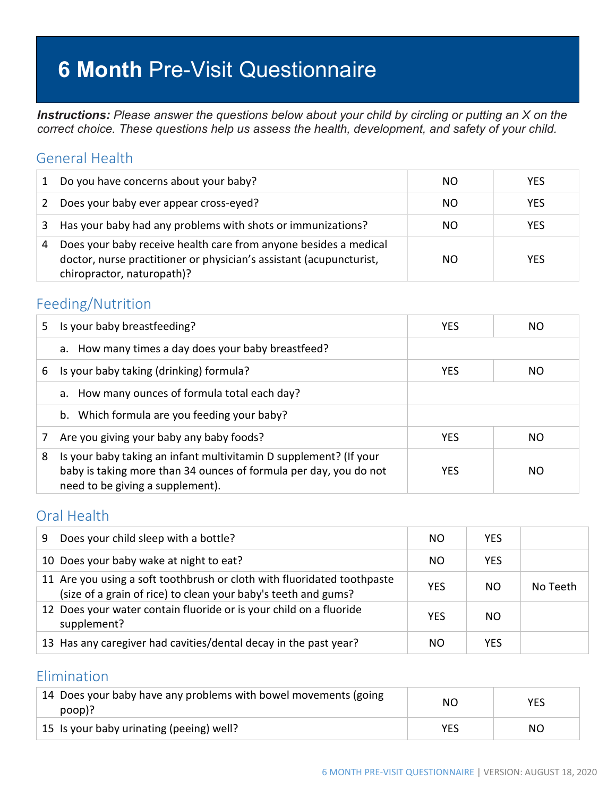# **6 Month** Pre-Visit Questionnaire

*Instructions: Please answer the questions below about your child by circling or putting an X on the correct choice. These questions help us assess the health, development, and safety of your child.*

### General Health

|   | Do you have concerns about your baby?                                                                                                                                 | NO. | <b>YES</b> |
|---|-----------------------------------------------------------------------------------------------------------------------------------------------------------------------|-----|------------|
| 2 | Does your baby ever appear cross-eyed?                                                                                                                                | NO. | <b>YES</b> |
|   | Has your baby had any problems with shots or immunizations?                                                                                                           | NO. | <b>YES</b> |
| 4 | Does your baby receive health care from anyone besides a medical<br>doctor, nurse practitioner or physician's assistant (acupuncturist,<br>chiropractor, naturopath)? | NO. | <b>YES</b> |

#### Feeding/Nutrition

| 5. | Is your baby breastfeeding?                                                                                                                                                | <b>YES</b> | NΟ  |
|----|----------------------------------------------------------------------------------------------------------------------------------------------------------------------------|------------|-----|
|    | a. How many times a day does your baby breastfeed?                                                                                                                         |            |     |
| 6  | Is your baby taking (drinking) formula?                                                                                                                                    | <b>YES</b> | NO. |
|    | a. How many ounces of formula total each day?                                                                                                                              |            |     |
|    | b. Which formula are you feeding your baby?                                                                                                                                |            |     |
|    | Are you giving your baby any baby foods?                                                                                                                                   | <b>YES</b> | NO. |
| 8  | Is your baby taking an infant multivitamin D supplement? (If your<br>baby is taking more than 34 ounces of formula per day, you do not<br>need to be giving a supplement). | <b>YFS</b> | NΟ  |

#### Oral Health

| Does your child sleep with a bottle?<br>9                                                                                                 | NΟ         | <b>YES</b> |          |
|-------------------------------------------------------------------------------------------------------------------------------------------|------------|------------|----------|
| 10 Does your baby wake at night to eat?                                                                                                   | NO.        | <b>YES</b> |          |
| 11 Are you using a soft toothbrush or cloth with fluoridated toothpaste<br>(size of a grain of rice) to clean your baby's teeth and gums? | <b>YES</b> | NO.        | No Teeth |
| 12 Does your water contain fluoride or is your child on a fluoride<br>supplement?                                                         | <b>YES</b> | NO.        |          |
| 13 Has any caregiver had cavities/dental decay in the past year?                                                                          | NΟ         | <b>YES</b> |          |

### Elimination

| 14 Does your baby have any problems with bowel movements (going<br>poop)? | ΝC  | YES |
|---------------------------------------------------------------------------|-----|-----|
| 15 Is your baby urinating (peeing) well?                                  | YES | NΟ  |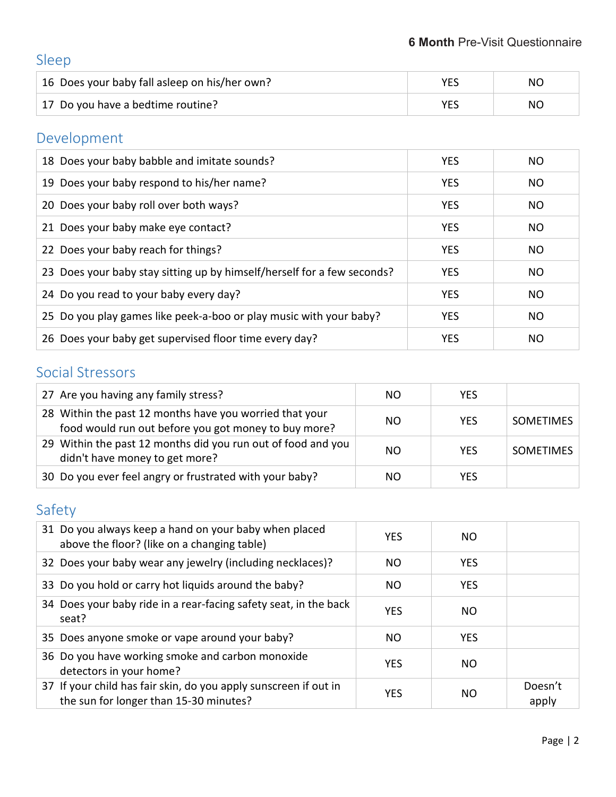# Sleep

| 16 Does your baby fall asleep on his/her own? | NΟ |
|-----------------------------------------------|----|
| 17 Do you have a bedtime routine?             | NΟ |

# Development

| 18 Does your baby babble and imitate sounds?                            | <b>YES</b> | NO        |
|-------------------------------------------------------------------------|------------|-----------|
| 19 Does your baby respond to his/her name?                              | <b>YES</b> | NO.       |
| 20 Does your baby roll over both ways?                                  | <b>YES</b> | NO.       |
| 21 Does your baby make eye contact?                                     | <b>YES</b> | NO.       |
| 22 Does your baby reach for things?                                     | <b>YES</b> | <b>NO</b> |
| 23 Does your baby stay sitting up by himself/herself for a few seconds? | <b>YES</b> | <b>NO</b> |
| 24 Do you read to your baby every day?                                  | <b>YES</b> | <b>NO</b> |
| 25 Do you play games like peek-a-boo or play music with your baby?      | <b>YES</b> | <b>NO</b> |
| 26 Does your baby get supervised floor time every day?                  | <b>YES</b> | NO.       |

### Social Stressors

| 27 Are you having any family stress?                                                                            | NO  | YES        |                  |
|-----------------------------------------------------------------------------------------------------------------|-----|------------|------------------|
| 28 Within the past 12 months have you worried that your<br>food would run out before you got money to buy more? | NO. | <b>YES</b> | <b>SOMETIMES</b> |
| 29 Within the past 12 months did you run out of food and you<br>didn't have money to get more?                  | NO. | <b>YES</b> | <b>SOMETIMES</b> |
| 30 Do you ever feel angry or frustrated with your baby?                                                         | NO. | YES        |                  |

## Safety

| 31 Do you always keep a hand on your baby when placed<br>above the floor? (like on a changing table)       | <b>YES</b> | NO.        |                  |
|------------------------------------------------------------------------------------------------------------|------------|------------|------------------|
| 32 Does your baby wear any jewelry (including necklaces)?                                                  | NO.        | <b>YES</b> |                  |
| 33 Do you hold or carry hot liquids around the baby?                                                       | NO.        | <b>YES</b> |                  |
| 34 Does your baby ride in a rear-facing safety seat, in the back<br>seat?                                  | <b>YES</b> | NO.        |                  |
| 35 Does anyone smoke or vape around your baby?                                                             | NO.        | <b>YES</b> |                  |
| 36 Do you have working smoke and carbon monoxide<br>detectors in your home?                                | <b>YES</b> | NO.        |                  |
| 37 If your child has fair skin, do you apply sunscreen if out in<br>the sun for longer than 15-30 minutes? | <b>YES</b> | NO.        | Doesn't<br>apply |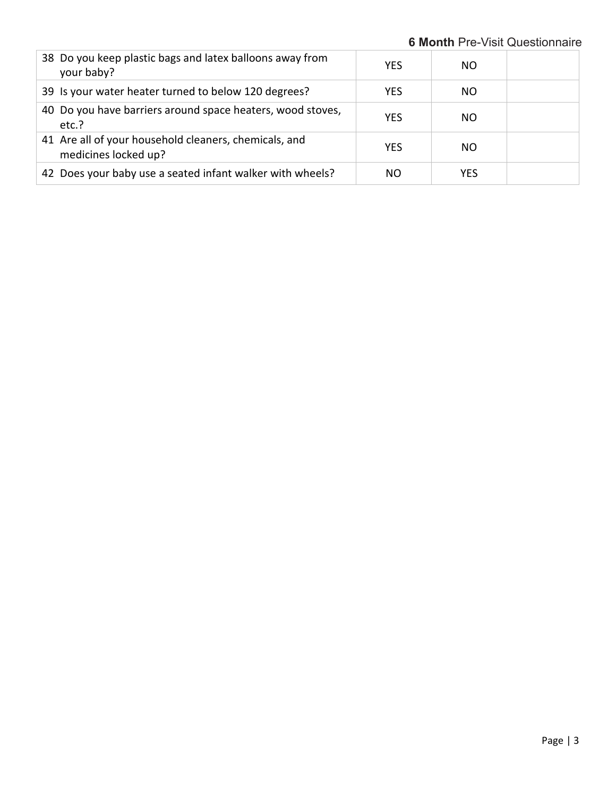**6 Month** Pre-Visit Questionnaire

| 38 Do you keep plastic bags and latex balloons away from<br>your baby?        | <b>YES</b> | NO. |  |
|-------------------------------------------------------------------------------|------------|-----|--|
| 39 Is your water heater turned to below 120 degrees?                          | <b>YES</b> | NO. |  |
| 40 Do you have barriers around space heaters, wood stoves,<br>etc.?           | <b>YES</b> | NO. |  |
| 41 Are all of your household cleaners, chemicals, and<br>medicines locked up? | <b>YES</b> | NO. |  |
| 42 Does your baby use a seated infant walker with wheels?                     | ΝO         | YES |  |